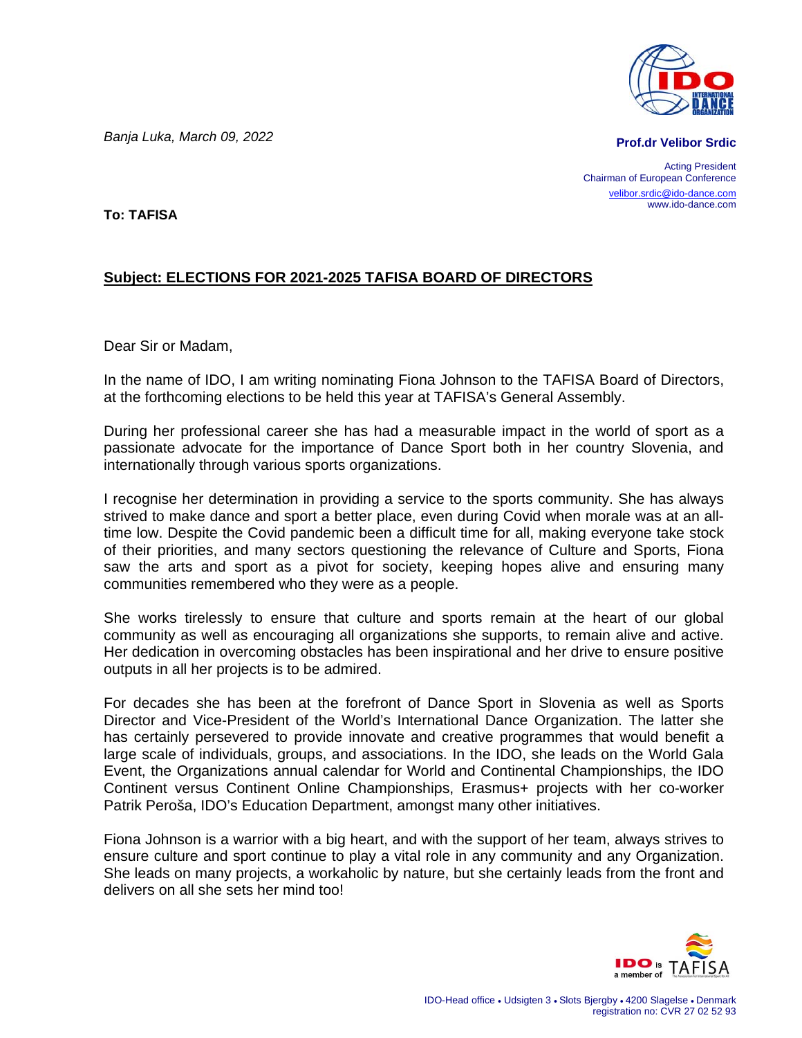*Banja Luka, March 09, 2022* 

**Prof.dr Velibor Srdic**

Acting President Chairman of European Conference velibor.srdic@ido-dance.com www.ido-dance.com

**To: TAFISA** 

## **Subject: ELECTIONS FOR 2021-2025 TAFISA BOARD OF DIRECTORS**

Dear Sir or Madam,

In the name of IDO, I am writing nominating Fiona Johnson to the TAFISA Board of Directors, at the forthcoming elections to be held this year at TAFISA's General Assembly.

During her professional career she has had a measurable impact in the world of sport as a passionate advocate for the importance of Dance Sport both in her country Slovenia, and internationally through various sports organizations.

I recognise her determination in providing a service to the sports community. She has always strived to make dance and sport a better place, even during Covid when morale was at an alltime low. Despite the Covid pandemic been a difficult time for all, making everyone take stock of their priorities, and many sectors questioning the relevance of Culture and Sports, Fiona saw the arts and sport as a pivot for society, keeping hopes alive and ensuring many communities remembered who they were as a people.

She works tirelessly to ensure that culture and sports remain at the heart of our global community as well as encouraging all organizations she supports, to remain alive and active. Her dedication in overcoming obstacles has been inspirational and her drive to ensure positive outputs in all her projects is to be admired.

For decades she has been at the forefront of Dance Sport in Slovenia as well as Sports Director and Vice-President of the World's International Dance Organization. The latter she has certainly persevered to provide innovate and creative programmes that would benefit a large scale of individuals, groups, and associations. In the IDO, she leads on the World Gala Event, the Organizations annual calendar for World and Continental Championships, the IDO Continent versus Continent Online Championships, Erasmus+ projects with her co-worker Patrik Peroša, IDO's Education Department, amongst many other initiatives.

Fiona Johnson is a warrior with a big heart, and with the support of her team, always strives to ensure culture and sport continue to play a vital role in any community and any Organization. She leads on many projects, a workaholic by nature, but she certainly leads from the front and delivers on all she sets her mind too!